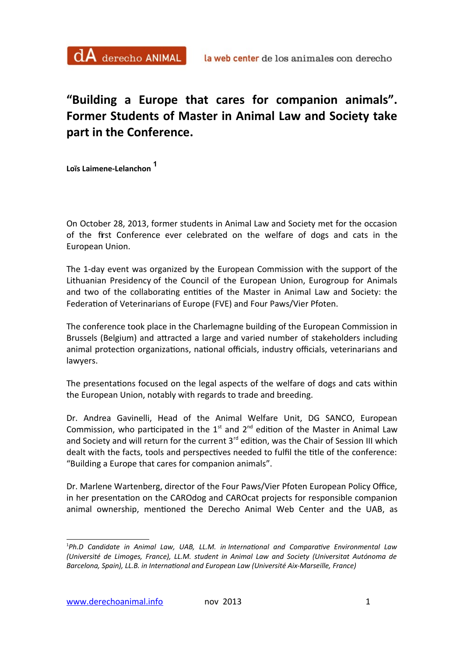## **"Building a Europe that cares for companion animals". Former Students of Master in Animal Law and Society take part in the Conference.**

**Loïs Laimene-Lelanchon [1](#page-0-0)**

On October 28, 2013, former students in Animal Law and Society met for the occasion of the frst Conference ever celebrated on the welfare of dogs and cats in the European Union.

The 1-day event was organized by the European Commission with the support of the Lithuanian Presidency of the Council of the European Union, Eurogroup for Animals and two of the collaborating entities of the Master in Animal Law and Society: the Federation of Veterinarians of Europe (FVE) and Four Paws/Vier Pfoten.

The conference took place in the Charlemagne building of the European Commission in Brussels (Belgium) and atracted a large and varied number of stakeholders including animal protection organizations, national officials, industry officials, veterinarians and lawyers.

The presentations focused on the legal aspects of the welfare of dogs and cats within the European Union, notably with regards to trade and breeding.

Dr. Andrea Gavinelli, Head of the Animal Welfare Unit, DG SANCO, European Commission, who participated in the  $1<sup>st</sup>$  and  $2<sup>nd</sup>$  edition of the Master in Animal Law and Society and will return for the current  $3<sup>rd</sup>$  edition, was the Chair of Session III which dealt with the facts, tools and perspectives needed to fulfil the title of the conference: "Building a Europe that cares for companion animals".

Dr. Marlene Wartenberg, director of the Four Paws/Vier Pfoten European Policy Office, in her presentation on the CAROdog and CAROcat projects for responsible companion animal ownership, mentioned the Derecho Animal Web Center and the UAB, as

<span id="page-0-0"></span><sup>1</sup> *Ph.D Candidate in Animal Law, UAB, LL.M. in Internatonal and Comparatve Environmental Law (Université de Limoges, France), LL.M. student in Animal Law and Society (Universitat Autónoma de Barcelona, Spain), LL.B. in Internatonal and European Law (Université Aix-Marseille, France)*